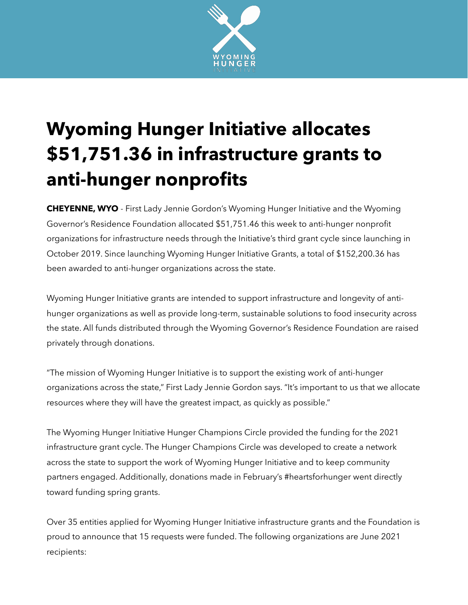

## **Wyoming Hunger Initiative allocates \$51,751.36 in infrastructure grants to anti-hunger nonprofits**

**CHEYENNE, WYO** - First Lady Jennie Gordon's Wyoming Hunger Initiative and the Wyoming Governor's Residence Foundation allocated \$51,751.46 this week to anti-hunger nonprofit organizations for infrastructure needs through the Initiative's third grant cycle since launching in October 2019. Since launching Wyoming Hunger Initiative Grants, a total of \$152,200.36 has been awarded to anti-hunger organizations across the state.

Wyoming Hunger Initiative grants are intended to support infrastructure and longevity of antihunger organizations as well as provide long-term, sustainable solutions to food insecurity across the state. All funds distributed through the Wyoming Governor's Residence Foundation are raised privately through donations.

"The mission of Wyoming Hunger Initiative is to support the existing work of anti-hunger organizations across the state," First Lady Jennie Gordon says. "It's important to us that we allocate resources where they will have the greatest impact, as quickly as possible."

The Wyoming Hunger Initiative Hunger Champions Circle provided the funding for the 2021 infrastructure grant cycle. The Hunger Champions Circle was developed to create a network across the state to support the work of Wyoming Hunger Initiative and to keep community partners engaged. Additionally, donations made in February's #heartsforhunger went directly toward funding spring grants.

Over 35 entities applied for Wyoming Hunger Initiative infrastructure grants and the Foundation is proud to announce that 15 requests were funded. The following organizations are June 2021 recipients: